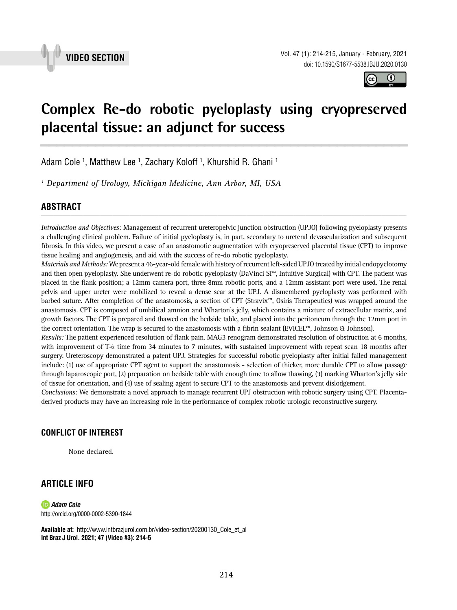



## **Complex Re-do robotic pyeloplasty using cryopreserved placental tissue: an adjunct for success \_\_\_\_\_\_\_\_\_\_\_\_\_\_\_\_\_\_\_\_\_\_\_\_\_\_\_\_\_\_\_\_\_\_\_\_\_\_\_\_\_\_\_\_\_\_\_**

Adam Cole <sup>1</sup>, Matthew Lee <sup>1</sup>, Zachary Koloff <sup>1</sup>, Khurshid R. Ghani <sup>1</sup>

*1 Department of Urology, Michigan Medicine, Ann Arbor, MI, USA*

# **ABSTRACT** *\_\_\_\_\_\_\_\_\_\_\_\_\_\_\_\_\_\_\_\_\_\_\_\_\_\_\_\_\_\_\_\_\_\_\_\_\_\_\_\_\_\_\_\_\_\_\_\_\_\_\_\_\_\_\_\_\_\_\_\_\_\_\_\_\_\_\_\_\_\_\_\_\_\_\_\_\_\_\_\_\_\_\_\_\_\_\_*

*Introduction and Objectives:* Management of recurrent ureteropelvic junction obstruction (UPJO) following pyeloplasty presents a challenging clinical problem. Failure of initial pyeloplasty is, in part, secondary to ureteral devascularization and subsequent fibrosis. In this video, we present a case of an anastomotic augmentation with cryopreserved placental tissue (CPT) to improve tissue healing and angiogenesis, and aid with the success of re-do robotic pyeloplasty.

*Materials and Methods:* We present a 46-year-old female with history of recurrent left-sided UPJO treated by initial endopyelotomy and then open pyeloplasty. She underwent re-do robotic pyeloplasty (DaVinci Si™, Intuitive Surgical) with CPT. The patient was placed in the flank position; a 12mm camera port, three 8mm robotic ports, and a 12mm assistant port were used. The renal pelvis and upper ureter were mobilized to reveal a dense scar at the UPJ. A dismembered pyeloplasty was performed with barbed suture. After completion of the anastomosis, a section of CPT (Stravix™, Osiris Therapeutics) was wrapped around the anastomosis. CPT is composed of umbilical amnion and Wharton's jelly, which contains a mixture of extracellular matrix, and growth factors. The CPT is prepared and thawed on the bedside table, and placed into the peritoneum through the 12mm port in the correct orientation. The wrap is secured to the anastomosis with a fibrin sealant (EVICEL™, Johnson & Johnson).

*Results:* The patient experienced resolution of flank pain. MAG3 renogram demonstrated resolution of obstruction at 6 months, with improvement of  $T<sup>1</sup>2$  time from 34 minutes to 7 minutes, with sustained improvement with repeat scan 18 months after surgery. Ureteroscopy demonstrated a patent UPJ. Strategies for successful robotic pyeloplasty after initial failed management include: (1) use of appropriate CPT agent to support the anastomosis - selection of thicker, more durable CPT to allow passage through laparoscopic port, (2) preparation on bedside table with enough time to allow thawing, (3) marking Wharton's jelly side of tissue for orientation, and (4) use of sealing agent to secure CPT to the anastomosis and prevent dislodgement.

*Conclusions:* We demonstrate a novel approach to manage recurrent UPJ obstruction with robotic surgery using CPT. Placentaderived products may have an increasing role in the performance of complex robotic urologic reconstructive surgery.

### **CONFLICT OF INTEREST**

None declared.

### **ARTICLE INFO**

*Adam Cole* http://orcid.org/0000-0002-5390-1844

**Available at:** [http://www.intbrazjurol.com.br/video-section/20200130\\_Cole\\_et\\_al](http://www.intbrazjurol.com.br/video-section/20200130_Cole_et_al) **Int Braz J Urol. 2021; 47 (Video #3): 214-5**